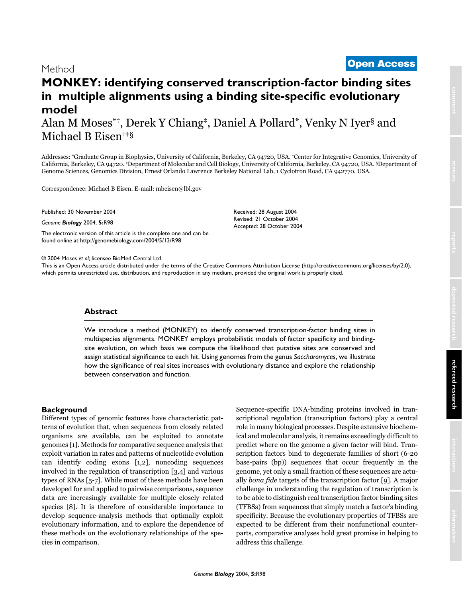# <sup>2004</sup> Moses et al. Volume 5, Issue 12, Article R98 **[Open Access](http://www.biomedcentral.com/info/about/charter/)** Method

# **MONKEY: identifying conserved transcription-factor binding sites in multiple alignments using a binding site-specific evolutionary model**

Alan M Moses<sup>\*†</sup>, Derek Y Chiang<sup>‡</sup>, Daniel A Pollard<sup>\*</sup>, Venky N Iyer<sup>§</sup> and Michael B Eisen†‡§

Addresses: \*Graduate Group in Biophysics, University of California, Berkeley, CA 94720, USA. †Center for Integrative Genomics, University of California, Berkeley, CA 94720. ‡Department of Molecular and Cell Biology, University of California, Berkeley, CA 94720, USA. §Department of Genome Sciences, Genomics Division, Ernest Orlando Lawrence Berkeley National Lab, 1 Cyclotron Road, CA 942770, USA.

> Received: 28 August 2004 Revised: 21 October 2004 Accepted: 28 October 2004

Correspondence: Michael B Eisen. E-mail: mbeisen@lbl.gov

Published: 30 November 2004

*Genome Biology* 2004, **5:**R98

[The electronic version of this article is the complete one and can be](http://genomebiology.com/2004/5/12/R98)  found online at http://genomebiology.com/2004/5/12/R98

© 2004 Moses *et al*; licensee BioMed Central Ltd.

[This is an Open Access article distributed under the terms of the Creative Commons Attribution License \(http://creativecommons.org/licenses/by/2.0\),]((http://creativecommons.org/licenses/by/2.0))  which permits unrestricted use, distribution, and reproduction in any medium, provided the original work is properly cited.

# **Abstract**

We introduce a method (MONKEY) to identify conserved transcription-factor binding sites in multispecies alignments. MONKEY employs probabilistic models of factor specificity and bindingsite evolution, on which basis we compute the likelihood that putative sites are conserved and assign statistical significance to each hit. Using genomes from the genus *Saccharomyces*, we illustrate how the significance of real sites increases with evolutionary distance and explore the relationship between conservation and function.

# **Background**

Different types of genomic features have characteristic patterns of evolution that, when sequences from closely related organisms are available, can be exploited to annotate genomes [1]. Methods for comparative sequence analysis that exploit variation in rates and patterns of nucleotide evolution can identify coding exons [1,2], noncoding sequences involved in the regulation of transcription [3,4] and various types of RNAs [5-7]. While most of these methods have been developed for and applied to pairwise comparisons, sequence data are increasingly available for multiple closely related species [8]. It is therefore of considerable importance to develop sequence-analysis methods that optimally exploit evolutionary information, and to explore the dependence of these methods on the evolutionary relationships of the species in comparison.

Sequence-specific DNA-binding proteins involved in transcriptional regulation (transcription factors) play a central role in many biological processes. Despite extensive biochemical and molecular analysis, it remains exceedingly difficult to predict where on the genome a given factor will bind. Transcription factors bind to degenerate families of short (6-20 base-pairs (bp)) sequences that occur frequently in the genome, yet only a small fraction of these sequences are actually *bona fide* targets of the transcription factor [9]. A major challenge in understanding the regulation of transcription is to be able to distinguish real transcription factor binding sites (TFBSs) from sequences that simply match a factor's binding specificity. Because the evolutionary properties of TFBSs are expected to be different from their nonfunctional counterparts, comparative analyses hold great promise in helping to address this challenge.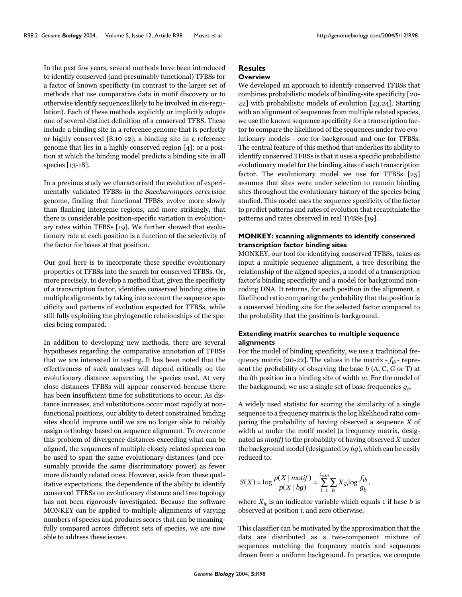In the past few years, several methods have been introduced to identify conserved (and presumably functional) TFBSs for a factor of known specificity (in contrast to the larger set of methods that use comparative data in motif discovery or to otherwise identify sequences likely to be involved in *cis*-regulation). Each of these methods explicitly or implicitly adopts one of several distinct definition of a conserved TFBS. These include a binding site in a reference genome that is perfectly or highly conserved [8,10-12]; a binding site in a reference genome that lies in a highly conserved region [4]; or a position at which the binding model predicts a binding site in all species [13-18].

In a previous study we characterized the evolution of experimentally validated TFBSs in the *Saccharomyces cerevisiae* genome, finding that functional TFBSs evolve more slowly than flanking intergenic regions, and more strikingly, that there is considerable position-specific variation in evolutionary rates within TFBSs [19]. We further showed that evolutionary rate at each position is a function of the selectivity of the factor for bases at that position.

Our goal here is to incorporate these specific evolutionary properties of TFBSs into the search for conserved TFBSs. Or, more precisely, to develop a method that, given the specificity of a transcription factor, identifies conserved binding sites in multiple alignments by taking into account the sequence specificity and patterns of evolution expected for TFBSs, while still fully exploiting the phylogenetic relationships of the species being compared.

In addition to developing new methods, there are several hypotheses regarding the comparative annotation of TFBSs that we are interested in testing. It has been noted that the effectiveness of such analyses will depend critically on the evolutionary distance separating the species used. At very close distances TFBSs will appear conserved because there has been insufficient time for substitutions to occur. As distance increases, and substitutions occur most rapidly at nonfunctional positions, our ability to detect constrained binding sites should improve until we are no longer able to reliably assign orthology based on sequence alignment. To overcome this problem of divergence distances exceeding what can be aligned, the sequences of multiple closely related species can be used to span the same evolutionary distances (and presumably provide the same discriminatory power) as fewer more distantly related ones. However, aside from these qualitative expectations, the dependence of the ability to identify conserved TFBSs on evolutionary distance and tree topology has not been rigorously investigated. Because the software MONKEY can be applied to multiple alignments of varying numbers of species and produces scores that can be meaningfully compared across different sets of species, we are now able to address these issues.

#### **Results Overview**

We developed an approach to identify conserved TFBSs that combines probabilistic models of binding-site specificity [20- 22] with probabilistic models of evolution [23,24]. Starting with an alignment of sequences from multiple related species, we use the known sequence specificity for a transcription factor to compare the likelihood of the sequences under two evolutionary models - one for background and one for TFBSs. The central feature of this method that underlies its ability to identify conserved TFBSs is that it uses a specific probabilistic evolutionary model for the binding sites of each transcription factor. The evolutionary model we use for TFBSs [25] assumes that sites were under selection to remain binding sites throughout the evolutionary history of the species being studied. This model uses the sequence specificity of the factor to predict patterns and rates of evolution that recapitulate the patterns and rates observed in real TFBSs [19].

## **MONKEY: scanning alignments to identify conserved transcription factor binding sites**

MONKEY, our tool for identifying conserved TFBSs, takes as input a multiple sequence alignment, a tree describing the relationship of the aligned species, a model of a transcription factor's binding specificity and a model for background noncoding DNA. It returns, for each position in the alignment, a likelihood ratio comparing the probability that the position is a conserved binding site for the selected factor compared to the probability that the position is background.

## **Extending matrix searches to multiple sequence alignments**

For the model of binding specificity, we use a traditional frequency matrix [20-22]. The values in the matrix  $-f_{ih}$  - represent the probability of observing the base *b* (A, C, G or T) at the *i*th position in a binding site of width *w*. For the model of the background, we use a single set of base frequencies  $g<sub>b</sub>$ .

A widely used statistic for scoring the similarity of a single sequence to a frequency matrix is the log likelihood ratio comparing the probability of having observed a sequence *X* of width  $w$  under the motif model (a frequency matrix, designated as *motif*) to the probability of having observed *X* under the background model (designated by *bg*), which can be easily reduced to:

$$
S(X) = \log \frac{p(X \mid motif)}{p(X \mid bg)} = \sum_{i=1}^{i=w} \sum_{b} X_{ib} \log \frac{f_{ib}}{g_b},
$$

where  $X_{ih}$  is an indicator variable which equals 1 if base *b* is observed at position *i*, and zero otherwise.

This classifier can be motivated by the approximation that the data are distributed as a two-component mixture of sequences matching the frequency matrix and sequences drawn from a uniform background. In practice, we compute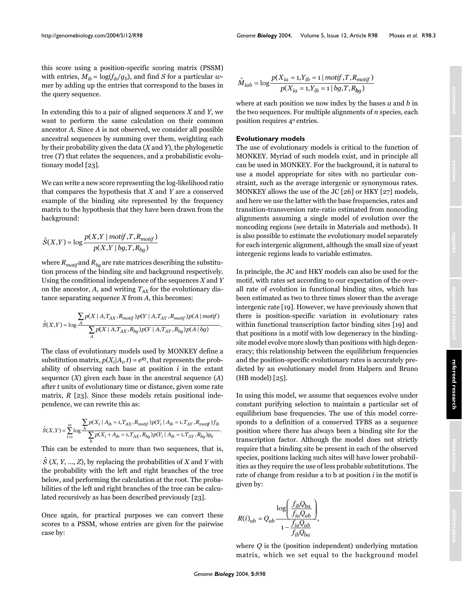this score using a position-specific scoring matrix (PSSM) with entries,  $M_{ib} = \log(f_{ib}/g_b)$ , and find *S* for a particular *w*mer by adding up the entries that correspond to the bases in the query sequence.

In extending this to a pair of aligned sequences *X* and *Y*, we want to perform the same calculation on their common ancestor *A*. Since *A* is not observed, we consider all possible ancestral sequences by summing over them, weighting each by their probability given the data (*X* and *Y*), the phylogenetic tree (*T*) that relates the sequences, and a probabilistic evolutionary model [23].

We can write a new score representing the log-likelihood ratio that compares the hypothesis that *X* and *Y* are a conserved example of the binding site represented by the frequency matrix to the hypothesis that they have been drawn from the background:

$$
\hat{S}(X,Y) = \log \frac{p(X,Y \mid motif,T,R_{motif})}{p(X,Y \mid bg,T,R_{bg})}
$$

where  $R_{motif}$  and  $R_{bg}$  are rate matrices describing the substitution process of the binding site and background respectively. Using the conditional independence of the sequences *X* and *Y* on the ancestor,  $A$ , and writing  $T_{AX}$  for the evolutionary distance separating sequence *X* from *A*, this becomes:

$$
\hat{S}(X,Y) = \log \frac{\sum_{A} p(X \mid A, T_{AX}, R_{motif}) p(Y \mid A, T_{AY}, R_{motif}) p(A \mid motif)}{\sum_{A} p(X \mid A, T_{AX}, R_{bg}) p(Y \mid A, T_{AY}, R_{bg}) p(A \mid bg)}.
$$

The class of evolutionary models used by MONKEY define a substitution matrix,  $p(X_i|A_i, t) = e^{Rt}$ , that represents the probability of observing each base at position *i* in the extant sequence (*X*) given each base in the ancestral sequence (*A*) after *t* units of evolutionary time or distance, given some rate matrix, *R* [23]. Since these models retain positional independence, we can rewrite this as:

$$
\hat{S}(X,Y) = \sum_{i=1}^{w} \log \frac{\sum_{b} p(X_i \mid A_{ib} = 1, T_{AX}, R_{motif}) p(Y_i \mid A_{ib} = 1, T_{AY}, R_{motif}) f_{ib}}{\sum_{b} p(X_i + A_{ib} = 1, T_{AX}, R_{bg}) p(Y_i \mid A_{ib} = 1, T_{AY}, R_{bg}) g_b}.
$$

This can be extended to more than two sequences, that is,

 $\hat{S}(X, Y, ..., Z)$ , by replacing the probabilities of *X* and *Y* with the probability with the left and right branches of the tree below, and performing the calculation at the root. The probabilities of the left and right branches of the tree can be calculated recursively as has been described previously [23].

Once again, for practical purposes we can convert these scores to a PSSM, whose entries are given for the pairwise case by:

$$
\hat{M}_{iab} = \log \frac{p(X_{ia} = 1, Y_{ib} = 1 | motif, T, R_{motif})}{p(X_{ia} = 1, Y_{ib} = 1 | bg, T, R_{bg})}
$$

where at each position we now index by the bases *a* and *b* in the two sequences. For multiple alignments of *n* species, each position requires  $4^n$  entries.

### **Evolutionary models**

The use of evolutionary models is critical to the function of MONKEY. Myriad of such models exist, and in principle all can be used in MONKEY. For the background, it is natural to use a model appropriate for sites with no particular constraint, such as the average intergenic or synonymous rates. MONKEY allows the use of the JC [26] or HKY [27] models, and here we use the latter with the base frequencies, rates and transition-transversion rate-ratio estimated from noncoding alignments assuming a single model of evolution over the noncoding regions (see details in Materials and methods). It is also possible to estimate the evolutionary model separately for each intergenic alignment, although the small size of yeast intergenic regions leads to variable estimates.

In principle, the JC and HKY models can also be used for the motif, with rates set according to our expectation of the overall rate of evolution in functional binding sites, which has been estimated as two to three times slower than the average intergenic rate [19]. However, we have previously shown that there is position-specific variation in evolutionary rates within functional transcription factor binding sites [19] and that positions in a motif with low degeneracy in the bindingsite model evolve more slowly than positions with high degeneracy; this relationship between the equilibrium frequencies and the position-specific evolutionary rates is accurately predicted by an evolutionary model from Halpern and Bruno (HB model) [25].

In using this model, we assume that sequences evolve under constant purifying selection to maintain a particular set of equilibrium base frequencies. The use of this model corresponds to a definition of a conserved TFBS as a sequence position where there has always been a binding site for the transcription factor. Although the model does not strictly require that a binding site be present in each of the observed species, positions lacking such sites will have lower probabilities as they require the use of less probable substitutions. The rate of change from residue a to b at position *i* in the motif is given by:

$$
R(i)_{ab} = Q_{ab} \frac{\log \left( \frac{f_{ib} Q_{ba}}{f_{ia} Q_{ab}} \right)}{1 - \frac{f_{ia} Q_{ab}}{f_{ib} Q_{ba}}},
$$

where *Q* is the (position independent) underlying mutation matrix, which we set equal to the background model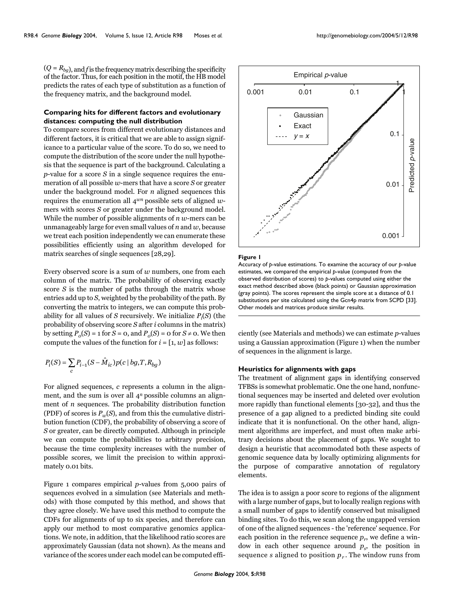$(Q = R_{bg})$ , and *f* is the frequency matrix describing the specificity of the factor. Thus, for each position in the motif, the HB model predicts the rates of each type of substitution as a function of the frequency matrix, and the background model.

## **Comparing hits for different factors and evolutionary distances: computing the null distribution**

To compare scores from different evolutionary distances and different factors, it is critical that we are able to assign significance to a particular value of the score. To do so, we need to compute the distribution of the score under the null hypothesis that the sequence is part of the background. Calculating a *p*-value for a score *S* in a single sequence requires the enumeration of all possible *w*-mers that have a score *S* or greater under the background model. For *n* aligned sequences this requires the enumeration all 4*wn* possible sets of aligned *w*mers with scores *S* or greater under the background model. While the number of possible alignments of *n w*-mers can be unmanageably large for even small values of *n* and *w*, because we treat each position independently we can enumerate these possibilities efficiently using an algorithm developed for matrix searches of single sequences [28,29].

Every observed score is a sum of *w* numbers, one from each column of the matrix. The probability of observing exactly score *S* is the number of paths through the matrix whose entries add up to *S*, weighted by the probability of the path. By converting the matrix to integers, we can compute this probability for all values of *S* recursively. We initialize *Pi* (*S*) (the probability of observing score *S* after *i* columns in the matrix) by setting  $P_0(S) = 1$  for  $S = 0$ , and  $P_0(S) = 0$  for  $S \neq 0$ . We then compute the values of the function for  $i = [1, w]$  as follows:

$$
P_i(S) = \sum_{c} P_{i-1}(S - \hat{M}_{ic}) p(c \mid bg, T, R_{bg})
$$

For aligned sequences, *c* represents a column in the alignment, and the sum is over all 4*n* possible columns an alignment of *n* sequences. The probability distribution function (PDF) of scores is  $P_w(S)$ , and from this the cumulative distribution function (CDF), the probability of observing a score of *S* or greater, can be directly computed. Although in principle we can compute the probabilities to arbitrary precision, because the time complexity increases with the number of possible scores, we limit the precision to within approximately 0.01 bits.

Figure 1 compares empirical *p*-values from 5,000 pairs of sequences evolved in a simulation (see Materials and methods) with those computed by this method, and shows that they agree closely. We have used this method to compute the CDFs for alignments of up to six species, and therefore can apply our method to most comparative genomics applications. We note, in addition, that the likelihood ratio scores are approximately Gaussian (data not shown). As the means and variance of the scores under each model can be computed effi-



#### **Figure 1**

Accuracy of *p*-value estimations. To examine the accuracy of our *p*-value estimates, we compared the empirical *p*-value (computed from the observed distribution of scores) to *p*-values computed using either the exact method described above (black points) or Gaussian approximation (gray points). The scores represent the simple score at a distance of 0.1 substitutions per site calculated using the Gcn4p matrix from SCPD [33]. Other models and matrices produce similar results.

ciently (see Materials and methods) we can estimate *p*-values using a Gaussian approximation (Figure 1) when the number of sequences in the alignment is large.

#### **Heuristics for alignments with gaps**

The treatment of alignment gaps in identifying conserved TFBSs is somewhat problematic. One the one hand, nonfunctional sequences may be inserted and deleted over evolution more rapidly than functional elements [30-32], and thus the presence of a gap aligned to a predicted binding site could indicate that it is nonfunctional. On the other hand, alignment algorithms are imperfect, and must often make arbitrary decisions about the placement of gaps. We sought to design a heuristic that accommodated both these aspects of genomic sequence data by locally optimizing alignments for the purpose of comparative annotation of regulatory elements.

The idea is to assign a poor score to regions of the alignment with a large number of gaps, but to locally realign regions with a small number of gaps to identify conserved but misaligned binding sites. To do this, we scan along the ungapped version of one of the aligned sequences - the 'reference' sequence. For each position in the reference sequence  $p_r$ , we define a window in each other sequence around  $p_s$ , the position in sequence *s* aligned to position  $p_r$ . The window runs from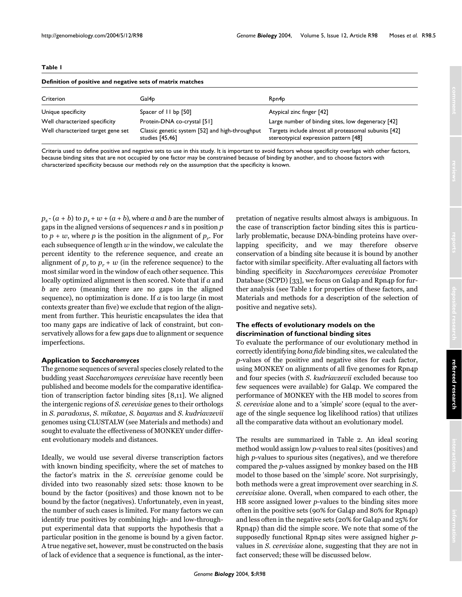#### <span id="page-4-0"></span>**Table 1**

## **Definition of positive and negative sets of matrix matches**

| Criterion                          | Gal4p                                                              | Rpn4 <sub>p</sub>                                                                             |
|------------------------------------|--------------------------------------------------------------------|-----------------------------------------------------------------------------------------------|
| Unique specificity                 | Spacer of 11 bp [50]                                               | Atypical zinc finger [42]                                                                     |
| Well characterized specificity     | Protein-DNA co-crystal [51]                                        | Large number of binding sites, low degeneracy [42]                                            |
| Well characterized target gene set | Classic genetic system [52] and high-throughput<br>studies [45,46] | Targets include almost all proteasomal subunits [42]<br>stereotypical expression pattern [48] |

Criteria used to define positive and negative sets to use in this study. It is important to avoid factors whose specificity overlaps with other factors, because binding sites that are not occupied by one factor may be constrained because of binding by another, and to choose factors with characterized specificity because our methods rely on the assumption that the specificity is known.

 $p_s - (a + b)$  to  $p_s + w + (a + b)$ , where *a* and *b* are the number of gaps in the aligned versions of sequences *r* and s in position *p* to  $p + w$ , where p is the position in the alignment of  $p_r$ . For each subsequence of length *w* in the window, we calculate the percent identity to the reference sequence, and create an alignment of  $p_r$  to  $p_r + w$  (in the reference sequence) to the most similar word in the window of each other sequence. This locally optimized alignment is then scored. Note that if *a* and *b* are zero (meaning there are no gaps in the aligned sequence), no optimization is done. If *a* is too large (in most contexts greater than five) we exclude that region of the alignment from further. This heuristic encapsulates the idea that too many gaps are indicative of lack of constraint, but conservatively allows for a few gaps due to alignment or sequence imperfections.

#### **Application to** *Saccharomyces*

The genome sequences of several species closely related to the budding yeast *Saccharomyces cerevisiae* have recently been published and become models for the comparative identification of transcription factor binding sites [8,11]. We aligned the intergenic regions of *S. cerevisiae* genes to their orthologs in *S. paradoxus*, *S. mikatae*, *S. bayanus* and *S. kudriavzevii* genomes using CLUSTALW (see Materials and methods) and sought to evaluate the effectiveness of MONKEY under different evolutionary models and distances.

Ideally, we would use several diverse transcription factors with known binding specificity, where the set of matches to the factor's matrix in the *S. cerevisiae* genome could be divided into two reasonably sized sets: those known to be bound by the factor (positives) and those known not to be bound by the factor (negatives). Unfortunately, even in yeast, the number of such cases is limited. For many factors we can identify true positives by combining high- and low-throughput experimental data that supports the hypothesis that a particular position in the genome is bound by a given factor. A true negative set, however, must be constructed on the basis of lack of evidence that a sequence is functional, as the interpretation of negative results almost always is ambiguous. In the case of transcription factor binding sites this is particularly problematic, because DNA-binding proteins have overlapping specificity, and we may therefore observe conservation of a binding site because it is bound by another factor with similar specificity. After evaluating all factors with binding specificity in *Saccharomyces cerevisiae* Promoter Database (SCPD) [33], we focus on Gal4p and Rpn4p for further analysis (see Table [1](#page-4-0) for properties of these factors, and Materials and methods for a description of the selection of positive and negative sets).

## **The effects of evolutionary models on the discrimination of functional binding sites**

To evaluate the performance of our evolutionary method in correctly identifying *bona fide* binding sites, we calculated the *p*-values of the positive and negative sites for each factor, using MONKEY on alignments of all five genomes for Rpn4p and four species (with *S. kudriavzevii* excluded because too few sequences were available) for Gal4p. We compared the performance of MONKEY with the HB model to scores from *S. cerevisiae* alone and to a 'simple' score (equal to the average of the single sequence log likelihood ratios) that utilizes all the comparative data without an evolutionary model.

The results are summarized in Table [2.](#page-5-0) An ideal scoring method would assign low *p*-values to real sites (positives) and high *p*-values to spurious sites (negatives), and we therefore compared the *p*-values assigned by monkey based on the HB model to those based on the 'simple' score. Not surprisingly, both methods were a great improvement over searching in *S. cerevisiae* alone. Overall, when compared to each other, the HB score assigned lower *p*-values to the binding sites more often in the positive sets (90% for Gal4p and 80% for Rpn4p) and less often in the negative sets (20% for Gal4p and 25% for Rpn4p) than did the simple score. We note that some of the supposedly functional Rpn4p sites were assigned higher *p*values in *S. cerevisiae* alone, suggesting that they are not in fact conserved; these will be discussed below.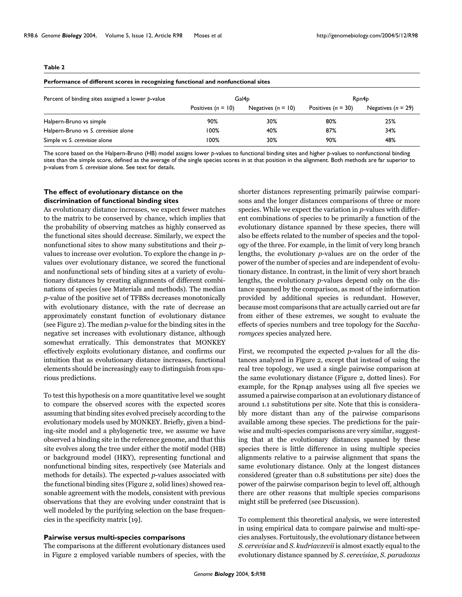#### <span id="page-5-0"></span>**Table 2**

| Performance of different scores in recognizing functional and nonfunctional sites |                      |                      |                        |                      |  |
|-----------------------------------------------------------------------------------|----------------------|----------------------|------------------------|----------------------|--|
| Percent of binding sites assigned a lower p-value                                 | Gal4p                |                      | Rpn4p                  |                      |  |
|                                                                                   | Positives $(n = 10)$ | Negatives $(n = 10)$ | Positives ( $n = 30$ ) | Negatives $(n = 29)$ |  |
| Halpern-Bruno vs simple                                                           | 90%                  | 30%                  | 80%                    | 25%                  |  |
| Halpern-Bruno vs S. cerevisiae alone                                              | 100%                 | 40%                  | 87%                    | 34%                  |  |
| Simple vs S. cerevisiae alone                                                     | $100\%$              | 30%                  | 90%                    | 48%                  |  |

The score based on the Halpern-Bruno (HB) model assigns lower *p*-values to functional binding sites and higher *p*-values to nonfunctional binding sites than the simple score, defined as the average of the single species scores in at that position in the alignment. Both methods are far superior to *p*-values from *S. cerevisiae* alone. See text for details.

## **The effect of evolutionary distance on the discrimination of functional binding sites**

As evolutionary distance increases, we expect fewer matches to the matrix to be conserved by chance, which implies that the probability of observing matches as highly conserved as the functional sites should decrease. Similarly, we expect the nonfunctional sites to show many substitutions and their *p*values to increase over evolution. To explore the change in *p*values over evolutionary distance, we scored the functional and nonfunctional sets of binding sites at a variety of evolutionary distances by creating alignments of different combinations of species (see Materials and methods). The median *p*-value of the positive set of TFBSs decreases monotonically with evolutionary distance, with the rate of decrease an approximately constant function of evolutionary distance (see Figure [2](#page-6-0)). The median *p*-value for the binding sites in the negative set increases with evolutionary distance, although somewhat erratically. This demonstrates that MONKEY effectively exploits evolutionary distance, and confirms our intuition that as evolutionary distance increases, functional elements should be increasingly easy to distinguish from spurious predictions.

To test this hypothesis on a more quantitative level we sought to compare the observed scores with the expected scores assuming that binding sites evolved precisely according to the evolutionary models used by MONKEY. Briefly, given a binding-site model and a phylogenetic tree, we assume we have observed a binding site in the reference genome, and that this site evolves along the tree under either the motif model (HB) or background model (HKY), representing functional and nonfunctional binding sites, respectively (see Materials and methods for details). The expected *p*-values associated with the functional binding sites (Figure [2](#page-6-0), solid lines) showed reasonable agreement with the models, consistent with previous observations that they are evolving under constraint that is well modeled by the purifying selection on the base frequencies in the specificity matrix [19].

#### **Pairwise versus multi-species comparisons**

The comparisons at the different evolutionary distances used in Figure [2](#page-6-0) employed variable numbers of species, with the

shorter distances representing primarily pairwise comparisons and the longer distances comparisons of three or more species. While we expect the variation in *p*-values with different combinations of species to be primarily a function of the evolutionary distance spanned by these species, there will also be effects related to the number of species and the topology of the three. For example, in the limit of very long branch lengths, the evolutionary *p*-values are on the order of the power of the number of species and are independent of evolutionary distance. In contrast, in the limit of very short branch lengths, the evolutionary *p*-values depend only on the distance spanned by the comparison, as most of the information provided by additional species is redundant. However, because most comparisons that are actually carried out are far from either of these extremes, we sought to evaluate the effects of species numbers and tree topology for the *Saccharomyces* species analyzed here.

First, we recomputed the expected *p*-values for all the distances analyzed in Figure [2,](#page-6-0) except that instead of using the real tree topology, we used a single pairwise comparison at the same evolutionary distance (Figure [2](#page-6-0), dotted lines). For example, for the Rpn4p analyses using all five species we assumed a pairwise comparison at an evolutionary distance of around 1.1 substitutions per site. Note that this is considerably more distant than any of the pairwise comparisons available among these species. The predictions for the pairwise and multi-species comparisons are very similar, suggesting that at the evolutionary distances spanned by these species there is little difference in using multiple species alignments relative to a pairwise alignment that spans the same evolutionary distance. Only at the longest distances considered (greater than 0.8 substitutions per site) does the power of the pairwise comparison begin to level off, although there are other reasons that multiple species comparisons might still be preferred (see Discussion).

To complement this theoretical analysis, we were interested in using empirical data to compare pairwise and multi-species analyses. Fortuitously, the evolutionary distance between *S. cerevisiae* and *S. kudriavzevii* is almost exactly equal to the evolutionary distance spanned by *S. cerevisiae*, *S. paradoxus*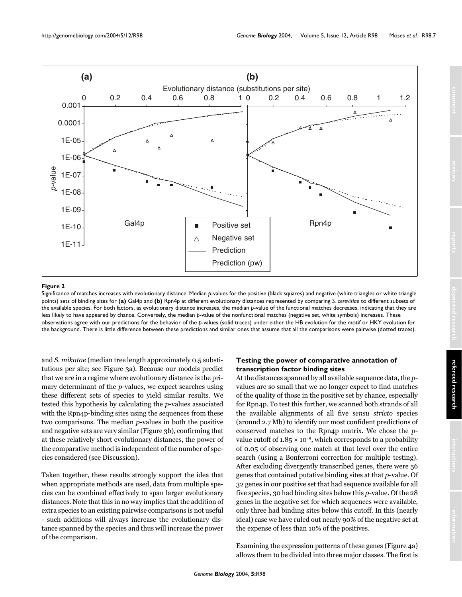<span id="page-6-0"></span>

#### **Figure 2**

Significance of matches increases with evolutionary distance. Median *p*-values for the positive (black squares) and negative (white triangles or white triangle points) sets of binding sites for **(a)** Gal4p and **(b)** Rpn4p at different evolutionary distances represented by comparing *S. cerevisiae* to different subsets of the available species. For both factors, as evolutionary distance increases, the median *p*-value of the functional matches decreases, indicating that they are less likely to have appeared by chance. Conversely, the median *p*-value of the nonfunctional matches (negative set, white symbols) increases. These observations agree with our predictions for the behavior of the *p*-values (solid traces) under either the HB evolution for the motif or HKY evolution for the background. There is little difference between these predictions and similar ones that assume that all the comparisons were pairwise (dotted traces).

and *S. mikatae* (median tree length approximately 0.5 substitutions per site; see Figure [3](#page-7-0)a). Because our models predict that we are in a regime where evolutionary distance is the primary determinant of the *p*-values, we expect searches using these different sets of species to yield similar results. We tested this hypothesis by calculating the *p*-values associated with the Rpn4p-binding sites using the sequences from these two comparisons. The median *p*-values in both the positive and negative sets are very similar (Figure [3](#page-7-0)b), confirming that at these relatively short evolutionary distances, the power of the comparative method is independent of the number of species considered (see Discussion).

Taken together, these results strongly support the idea that when appropriate methods are used, data from multiple species can be combined effectively to span larger evolutionary distances. Note that this in no way implies that the addition of extra species to an existing pairwise comparisons is not useful - such additions will always increase the evolutionary distance spanned by the species and thus will increase the power of the comparison.

# **Testing the power of comparative annotation of transcription factor binding sites**

At the distances spanned by all available sequence data, the *p*values are so small that we no longer expect to find matches of the quality of those in the positive set by chance, especially for Rpn4p. To test this further, we scanned both strands of all the available alignments of all five *sensu stricto* species (around 2.7 Mb) to identify our most confident predictions of conserved matches to the Rpn4p matrix. We chose the *p*value cutoff of  $1.85 \times 10^{-8}$ , which corresponds to a probability of 0.05 of observing one match at that level over the entire search (using a Bonferroni correction for multiple testing). After excluding divergently transcribed genes, there were 56 genes that contained putative binding sites at that *p*-value. Of 32 genes in our positive set that had sequence available for all five species, 30 had binding sites below this *p*-value. Of the 28 genes in the negative set for which sequences were available, only three had binding sites below this cutoff. In this (nearly ideal) case we have ruled out nearly 90% of the negative set at the expense of less than 10% of the positives.

Examining the expression patterns of these genes (Figure [4](#page-8-0)a) allows them to be divided into three major classes. The first is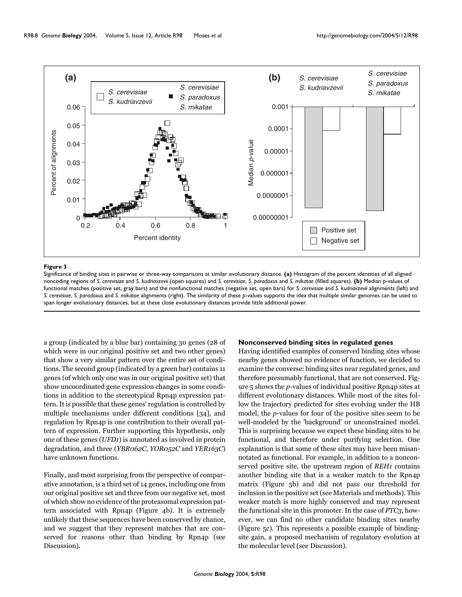<span id="page-7-0"></span>

#### Significance of binding sites in pairwise or thr **Figure 3** ee-way comparisons at similar evolutionary distance

Significance of binding sites in pairwise or three-way comparisons at similar evolutionary distance. **(a)** Histogram of the percent identities of all aligned noncoding regions of *S. cerevisiae* and *S. kudriavzevii* (open squares) and *S. cerevisiae*, *S. paradoxus* and *S. mikatae* (filled squares). **(b)** Median *p*-values of functional matches (positive set, gray bars) and the nonfunctional matches (negative set, open bars) for *S. cerevisiae* and *S. kudriavzevii* alignments (left) and *S. cerevisiae*, *S. paradoxus* and *S. mikatae* alignments (right). The similarity of these *p*-values supports the idea that multiple similar genomes can be used to span longer evolutionary distances, but at these close evolutionary distances provide little additional power.

a group (indicated by a blue bar) containing 30 genes (28 of which were in our original positive set and two other genes) that show a very similar pattern over the entire set of conditions. The second group (indicated by a green bar) contains 11 genes (of which only one was in our original positive set) that show uncoordinated gene expression changes in some conditions in addition to the stereotypical Rpn4p expression pattern. It is possible that these genes' regulation is controlled by multiple mechanisms under different conditions [34], and regulation by Rpn4p is one contribution to their overall pattern of expression. Further supporting this hypothesis, only one of these genes (*UFD1*) is annotated as involved in protein degradation, and three (*YBR062C*, *YOR052C* and *YER163C*) have unknown functions.

Finally, and most surprising from the perspective of comparative annotation, is a third set of 14 genes, including one from our original positive set and three from our negative set, most of which show no evidence of the proteasomal expression pattern associated with Rpn4p (Figure [4](#page-8-0)b). It is extremely unlikely that these sequences have been conserved by chance, and we suggest that they represent matches that are conserved for reasons other than binding by Rpn4p (see Discussion).

#### **Nonconserved binding sites in regulated genes**

Having identified examples of conserved binding sites whose nearby genes showed no evidence of function, we decided to examine the converse: binding sites near regulated genes, and therefore presumably functional, that are not conserved. Figure 5 shows the *p*-values of individual positive Rpn4p sites at different evolutionary distances. While most of the sites follow the trajectory predicted for sites evolving under the HB model, the *p*-values for four of the positive sites seem to be well-modeled by the 'background' or unconstrained model. This is surprising because we expect these binding sites to be functional, and therefore under purifying selection. One explanation is that some of these sites may have been misannotated as functional. For example, in addition to a nonconserved positive site, the upstream region of *REH1* contains another binding site that is a weaker match to the Rpn4p matrix (Figure 5b) and did not pass our threshold for inclusion in the positive set (see Materials and methods). This weaker match is more highly conserved and may represent the functional site in this promoter. In the case of *PTC3*, however, we can find no other candidate binding sites nearby (Figure 5c). This represents a possible example of bindingsite gain, a proposed mechanism of regulatory evolution at the molecular level (see Discussion).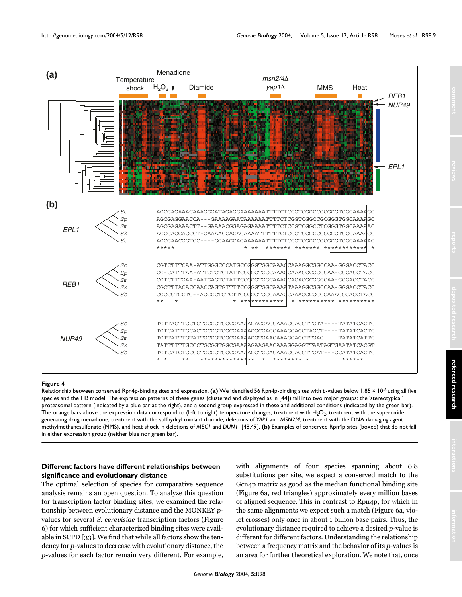<span id="page-8-0"></span>

#### **Figure 4**

Relationship between conserved Rpn4p-binding sites and expression. **(a)** We identified 56 Rpn4p-binding sites with *p*-values below 1.85 × 10-8 using all five species and the HB model. The expression patterns of these genes (clustered and displayed as in [44]) fall into two major groups: the 'stereotypical' proteasomal pattern (indicated by a blue bar at the right), and a second group expressed in these and additional conditions (indicated by the green bar). The orange bars above the expression data correspond to (left to right) temperature changes, treatment with H<sub>2</sub>O<sub>2</sub>, treatment with the superoxide generating drug menadione, treatment with the sulfhydryl oxidant diamide, deletions of *YAP1* and *MSN2/4*, treatment with the DNA damaging agent methylmethanesulfonate (MMS), and heat shock in deletions of *MEC1* and *DUN1* [48,49]. **(b)** Examples of conserved Rpn4p sites (boxed) that do not fall in either expression group (neither blue nor green bar).

## **Different factors have different relationships between significance and evolutionary distance**

The optimal selection of species for comparative sequence analysis remains an open question. To analyze this question for transcription factor binding sites, we examined the relationship between evolutionary distance and the MONKEY *p*values for several *S. cerevisiae* transcription factors (Figure 6) for which sufficient characterized binding sites were available in SCPD [33]. We find that while all factors show the tendency for *p*-values to decrease with evolutionary distance, the *p*-values for each factor remain very different. For example,

with alignments of four species spanning about 0.8 substitutions per site, we expect a conserved match to the Gcn4p matrix as good as the median functional binding site (Figure 6a, red triangles) approximately every million bases of aligned sequence. This in contrast to Rpn4p, for which in the same alignments we expect such a match (Figure 6a, violet crosses) only once in about 1 billion base pairs. Thus, the evolutionary distance required to achieve a desired *p*-value is different for different factors. Understanding the relationship between a frequency matrix and the behavior of its *p*-values is an area for further theoretical exploration. We note that, once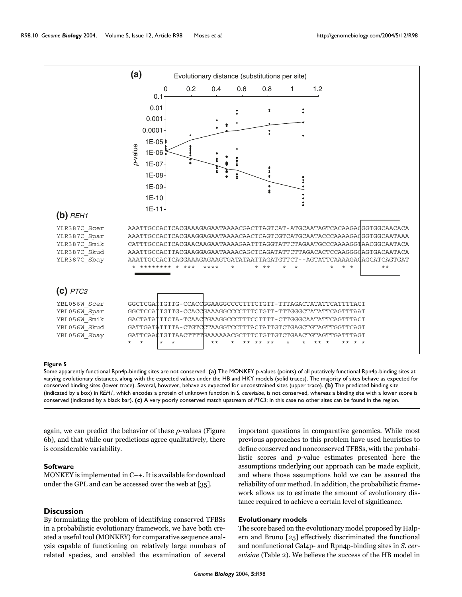

#### **Figure 5**

Some apparently functional Rpn4p-binding sites are not conserved. **(a)** The MONKEY *p*-values (points) of all putatively functional Rpn4p-binding sites at varying evolutionary distances, along with the expected values under the HB and HKY models (solid traces). The majority of sites behave as expected for conserved binding sites (lower trace). Several, however, behave as expected for unconstrained sites (upper trace). **(b)** The predicted binding site (indicated by a box) in *REH1*, which encodes a protein of unknown function in *S. cerevisiae*, is not conserved, whereas a binding site with a lower score is conserved (indicated by a black bar). **(c)** A very poorly conserved match upstream of *PTC3*; in this case no other sites can be found in the region.

again, we can predict the behavior of these *p*-values (Figure 6b), and that while our predictions agree qualitatively, there is considerable variability.

#### **Software**

MONKEY is implemented in C++. It is available for download under the GPL and can be accessed over the web at [35].

### **Discussion**

By formulating the problem of identifying conserved TFBSs in a probabilistic evolutionary framework, we have both created a useful tool (MONKEY) for comparative sequence analysis capable of functioning on relatively large numbers of related species, and enabled the examination of several

important questions in comparative genomics. While most previous approaches to this problem have used heuristics to define conserved and nonconserved TFBSs, with the probabilistic scores and *p*-value estimates presented here the assumptions underlying our approach can be made explicit, and where those assumptions hold we can be assured the reliability of our method. In addition, the probabilistic framework allows us to estimate the amount of evolutionary distance required to achieve a certain level of significance.

#### **Evolutionary models**

The score based on the evolutionary model proposed by Halpern and Bruno [25] effectively discriminated the functional and nonfunctional Gal4p- and Rpn4p-binding sites in *S. cerevisiae* (Table [2](#page-5-0)). We believe the success of the HB model in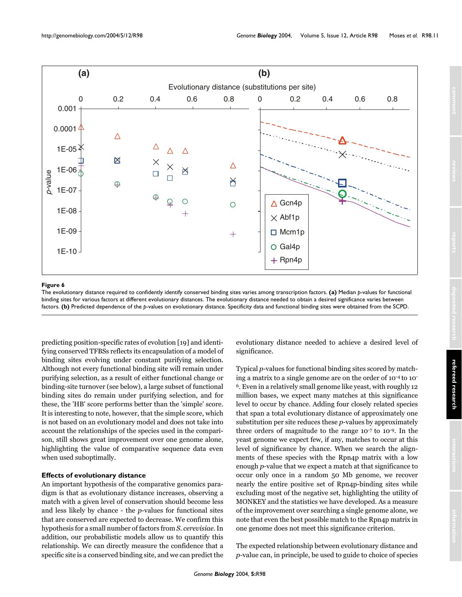

#### **Figure 6** The evolution required to confidently identify conserved binding sites varies among the evolution factors of  $\alpha$

The evolutionary distance required to confidently identify conserved binding sites varies among transcription factors. **(a)** Median *p*-values for functional binding sites for various factors at different evolutionary distances. The evolutionary distance needed to obtain a desired significance varies between factors. **(b)** Predicted dependence of the *p*-values on evolutionary distance. Specificity data and functional binding sites were obtained from the SCPD.

predicting position-specific rates of evolution [19] and identifying conserved TFBSs reflects its encapsulation of a model of binding sites evolving under constant purifying selection. Although not every functional binding site will remain under purifying selection, as a result of either functional change or binding-site turnover (see below), a large subset of functional binding sites do remain under purifying selection, and for these, the 'HB' score performs better than the 'simple' score. It is interesting to note, however, that the simple score, which is not based on an evolutionary model and does not take into account the relationships of the species used in the comparison, still shows great improvement over one genome alone, highlighting the value of comparative sequence data even when used suboptimally.

#### **Effects of evolutionary distance**

An important hypothesis of the comparative genomics paradigm is that as evolutionary distance increases, observing a match with a given level of conservation should become less and less likely by chance - the *p*-values for functional sites that are conserved are expected to decrease. We confirm this hypothesis for a small number of factors from *S. cerevisiae*. In addition, our probabilistic models allow us to quantify this relationship. We can directly measure the confidence that a specific site is a conserved binding site, and we can predict the

evolutionary distance needed to achieve a desired level of significance.

Typical *p*-values for functional binding sites scored by matching a matrix to a single genome are on the order of 10-4 to 10- 6. Even in a relatively small genome like yeast, with roughly 12 million bases, we expect many matches at this significance level to occur by chance. Adding four closely related species that span a total evolutionary distance of approximately one substitution per site reduces these *p*-values by approximately three orders of magnitude to the range 10-7 to 10-9. In the yeast genome we expect few, if any, matches to occur at this level of significance by chance. When we search the alignments of these species with the Rpn4p matrix with a low enough *p*-value that we expect a match at that significance to occur only once in a random 50 Mb genome, we recover nearly the entire positive set of Rpn4p-binding sites while excluding most of the negative set, highlighting the utility of MONKEY and the statistics we have developed. As a measure of the improvement over searching a single genome alone, we note that even the best possible match to the Rpn4p matrix in one genome does not meet this significance criterion.

The expected relationship between evolutionary distance and *p*-value can, in principle, be used to guide to choice of species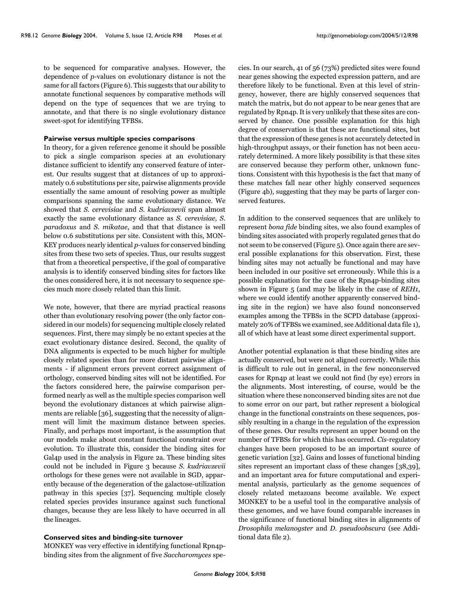to be sequenced for comparative analyses. However, the dependence of *p*-values on evolutionary distance is not the same for all factors (Figure 6). This suggests that our ability to annotate functional sequences by comparative methods will depend on the type of sequences that we are trying to annotate, and that there is no single evolutionary distance sweet-spot for identifying TFBSs.

#### **Pairwise versus multiple species comparisons**

In theory, for a given reference genome it should be possible to pick a single comparison species at an evolutionary distance sufficient to identify any conserved feature of interest. Our results suggest that at distances of up to approximately 0.6 substitutions per site, pairwise alignments provide essentially the same amount of resolving power as multiple comparisons spanning the same evolutionary distance. We showed that *S. cerevisiae* and *S. kudriavzevii* span almost exactly the same evolutionary distance as *S. cerevisiae*, *S. paradoxus* and *S. mikatae*, and that that distance is well below 0.6 substitutions per site. Consistent with this, MON-KEY produces nearly identical *p*-values for conserved binding sites from these two sets of species. Thus, our results suggest that from a theoretical perspective, if the goal of comparative analysis is to identify conserved binding sites for factors like the ones considered here, it is not necessary to sequence species much more closely related than this limit.

We note, however, that there are myriad practical reasons other than evolutionary resolving power (the only factor considered in our models) for sequencing multiple closely related sequences. First, there may simply be no extant species at the exact evolutionary distance desired. Second, the quality of DNA alignments is expected to be much higher for multiple closely related species than for more distant pairwise alignments - if alignment errors prevent correct assignment of orthology, conserved binding sites will not be identified. For the factors considered here, the pairwise comparison performed nearly as well as the multiple species comparison well beyond the evolutionary distances at which pairwise alignments are reliable [36], suggesting that the necessity of alignment will limit the maximum distance between species. Finally, and perhaps most important, is the assumption that our models make about constant functional constraint over evolution. To illustrate this, consider the binding sites for Gal4p used in the analysis in Figure [2](#page-6-0)a. These binding sites could not be included in Figure [3](#page-7-0) because *S. kudriavzevii* orthologs for these genes were not available in SGD, apparently because of the degeneration of the galactose-utilization pathway in this species [37]. Sequencing multiple closely related species provides insurance against such functional changes, because they are less likely to have occurred in all the lineages.

#### **Conserved sites and binding-site turnover**

MONKEY was very effective in identifying functional Rpn4pbinding sites from the alignment of five *Saccharomyces* species. In our search, 41 of 56 (73%) predicted sites were found near genes showing the expected expression pattern, and are therefore likely to be functional. Even at this level of stringency, however, there are highly conserved sequences that match the matrix, but do not appear to be near genes that are regulated by Rpn4p. It is very unlikely that these sites are conserved by chance. One possible explanation for this high degree of conservation is that these are functional sites, but that the expression of these genes is not accurately detected in high-throughput assays, or their function has not been accurately determined. A more likely possibility is that these sites are conserved because they perform other, unknown functions. Consistent with this hypothesis is the fact that many of these matches fall near other highly conserved sequences (Figure [4b](#page-8-0)), suggesting that they may be parts of larger conserved features.

In addition to the conserved sequences that are unlikely to represent *bona fide* binding sites, we also found examples of binding sites associated with properly regulated genes that do not seem to be conserved (Figure 5). Once again there are several possible explanations for this observation. First, these binding sites may not actually be functional and may have been included in our positive set erroneously. While this is a possible explanation for the case of the Rpn4p-binding sites shown in Figure 5 (and may be likely in the case of *REH1*, where we could identify another apparently conserved binding site in the region) we have also found nonconserved examples among the TFBSs in the SCPD database (approximately 20% of TFBSs we examined, see Additional data file 1), all of which have at least some direct experimental support.

Another potential explanation is that these binding sites are actually conserved, but were not aligned correctly. While this is difficult to rule out in general, in the few nonconserved cases for Rpn4p at least we could not find (by eye) errors in the alignments. Most interesting, of course, would be the situation where these nonconserved binding sites are not due to some error on our part, but rather represent a biological change in the functional constraints on these sequences, possibly resulting in a change in the regulation of the expression of these genes. Our results represent an upper bound on the number of TFBSs for which this has occurred. *Cis*-regulatory changes have been proposed to be an important source of genetic variation [32]. Gains and losses of functional binding sites represent an important class of these changes [38,39], and an important area for future computational and experimental analysis, particularly as the genome sequences of closely related metazoans become available. We expect MONKEY to be a useful tool in the comparative analysis of these genomes, and we have found comparable increases in the significance of functional binding sites in alignments of *Drosophila melanogster* and *D. pseudoobscura* (see Additional data file 2).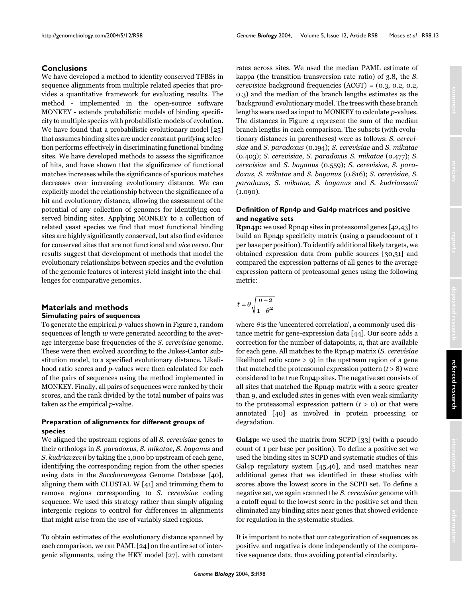## **Conclusions**

We have developed a method to identify conserved TFBSs in sequence alignments from multiple related species that provides a quantitative framework for evaluating results. The method - implemented in the open-source software MONKEY - extends probabilistic models of binding specificity to multiple species with probabilistic models of evolution. We have found that a probabilistic evolutionary model [25] that assumes binding sites are under constant purifying selection performs effectively in discriminating functional binding sites. We have developed methods to assess the significance of hits, and have shown that the significance of functional matches increases while the significance of spurious matches decreases over increasing evolutionary distance. We can explicitly model the relationship between the significance of a hit and evolutionary distance, allowing the assessment of the potential of any collection of genomes for identifying conserved binding sites. Applying MONKEY to a collection of related yeast species we find that most functional binding sites are highly significantly conserved, but also find evidence for conserved sites that are not functional and *vice versa*. Our results suggest that development of methods that model the evolutionary relationships between species and the evolution of the genomic features of interest yield insight into the challenges for comparative genomics.

## **Materials and methods Simulating pairs of sequences**

To generate the empirical *p*-values shown in Figure 1, random sequences of length *w* were generated according to the average intergenic base frequencies of the *S. cerevisiae* genome. These were then evolved according to the Jukes-Cantor substitution model, to a specified evolutionary distance. Likelihood ratio scores and *p*-values were then calculated for each of the pairs of sequences using the method implemented in MONKEY. Finally, all pairs of sequences were ranked by their scores, and the rank divided by the total number of pairs was taken as the empirical *p*-value.

## **Preparation of alignments for different groups of species**

We aligned the upstream regions of all *S. cerevisiae* genes to their orthologs in *S. paradoxus*, *S. mikatae*, *S. bayanus* and *S. kudriavzevii* by taking the 1,000 bp upstream of each gene, identifying the corresponding region from the other species using data in the *Saccharomyces* Genome Database [40], aligning them with CLUSTAL W [41] and trimming them to remove regions corresponding to *S. cerevisiae* coding sequence. We used this strategy rather than simply aligning intergenic regions to control for differences in alignments that might arise from the use of variably sized regions.

To obtain estimates of the evolutionary distance spanned by each comparison, we ran PAML [24] on the entire set of intergenic alignments, using the HKY model [27], with constant rates across sites. We used the median PAML estimate of kappa (the transition-transversion rate ratio) of 3.8, the *S. cerevisiae* background frequencies (ACGT) = (0.3, 0.2, 0.2, 0.3) and the median of the branch lengths estimates as the 'background' evolutionary model. The trees with these branch lengths were used as input to MONKEY to calculate *p*-values. The distances in Figure [4](#page-8-0) represent the sum of the median branch lengths in each comparison. The subsets (with evolutionary distances in parentheses) were as follows: *S. cerevisiae* and *S. paradoxus* (0.194); *S. cerevisiae* and *S. mikatae* (0.403); *S. cerevisiae*, *S. paradoxus S. mikatae* (0.477); *S. cerevisiae* and *S. bayanus* (0.559); *S. cerevisiae*, *S. paradoxus, S. mikatae* and *S. bayanus* (0.816); *S. cerevisiae*, *S. paradoxus, S. mikatae, S. bayanus* and *S. kudriavzevii* (1.090).

## **Definition of Rpn4p and Gal4p matrices and positive and negative sets**

**Rpn4p:** we used Rpn4p sites in proteasomal genes [42,43] to build an Rpn4p specificity matrix (using a pseudocount of 1 per base per position). To identify additional likely targets, we obtained expression data from public sources [30,[31\]](#page-14-0) and compared the expression patterns of all genes to the average expression pattern of proteasomal genes using the following metric:

$$
t=\theta\sqrt{\frac{n-2}{1-\theta^2}}
$$

where  $\theta$  is the 'uncentered correlation', a commonly used distance metric for gene-expression data [44]. Our score adds a correction for the number of datapoints, *n*, that are available for each gene. All matches to the Rpn4p matrix (*S. cerevisiae* likelihood ratio score > 9) in the upstream region of a gene that matched the proteasomal expression pattern (*t* > 8) were considered to be true Rnp4p sites. The negative set consists of all sites that matched the Rpn4p matrix with a score greater than 9, and excluded sites in genes with even weak similarity to the proteasomal expression pattern  $(t > 0)$  or that were annotated [40] as involved in protein processing or degradation.

**Gal4p:** we used the matrix from SCPD [33] (with a pseudo count of 1 per base per position). To define a positive set we used the binding sites in SCPD and systematic studies of this Gal4p regulatory system [45,46], and used matches near additional genes that we identified in these studies with scores above the lowest score in the SCPD set. To define a negative set, we again scanned the *S. cerevisiae* genome with a cutoff equal to the lowest score in the positive set and then eliminated any binding sites near genes that showed evidence for regulation in the systematic studies.

It is important to note that our categorization of sequences as positive and negative is done independently of the comparative sequence data, thus avoiding potential circularity.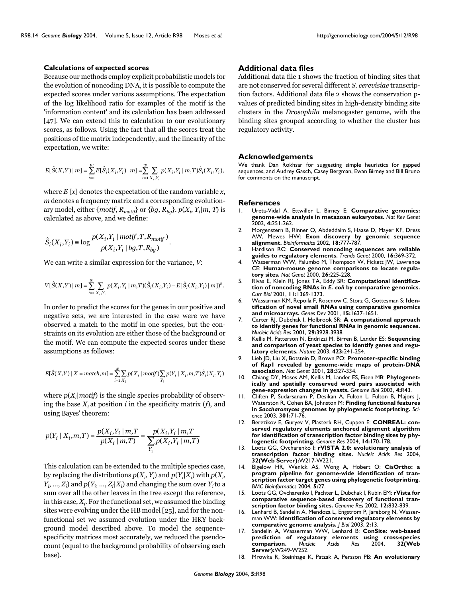#### **Calculations of expected scores**

Because our methods employ explicit probabilistic models for the evolution of noncoding DNA, it is possible to compute the expected scores under various assumptions. The expectation of the log likelihood ratio for examples of the motif is the 'information content' and its calculation has been addressed [47]. We can extend this to calculation to our evolutionary scores, as follows. Using the fact that all the scores treat the positions of the matrix independently, and the linearity of the expectation, we write:

$$
E[\hat{S}(X,Y) | m] = \sum_{i=1}^{w} E[\hat{S}_i(X_i,Y_i) | m] = \sum_{i=1}^{w} \sum_{X_i,Y_i} p(X_i,Y_i | m,T) \hat{S}_i(X_i,Y_i),
$$

where  $E[x]$  denotes the expectation of the random variable  $x$ , *m* denotes a frequency matrix and a corresponding evolutionary model, either {*motif*, *Rmotif*} or {*bg*, *Rbg*}. *p*(*Xi* , *Yi* |*m*, *T*) is calculated as above, and we define:

$$
\hat{S}_i(X_i, Y_i) \equiv \log \frac{p(X_i, Y_i \mid motif, T, R_{motif})}{p(X_i, Y_i \mid bg, T, R_{bg})}.
$$

We can write a similar expression for the variance, *V*:

$$
V[\hat{S}(X,Y) \mid m] = \sum_{i=1}^{w} \sum_{X_i,Y_i} p(X_i,Y_i \mid m,T) (\hat{S}_i(X_i,Y_i) - E[\hat{S}_i(X_i,Y_i) \mid m])^2.
$$

In order to predict the scores for the genes in our positive and negative sets, we are interested in the case were we have observed a match to the motif in one species, but the constraints on its evolution are either those of the background or the motif. We can compute the expected scores under these assumptions as follows:

$$
E[\hat{S}(X,Y) \mid X = match, m] = \sum_{i=1}^{w} \sum_{X_i} p(X_i \mid motif) \sum_{Y_i} p(Y_i \mid X_i, m, T) \hat{S}_i(X_i, Y_i)
$$

where  $p(X_i | motif)$  is the single species probability of observing the base  $X_i$  at position  $i$  in the specificity matrix  $(f)$ , and using Bayes' theorem:

$$
p(Y_i | X_i, m, T) = \frac{p(X_i, Y_i | m, T)}{p(X_i | m, T)} = \frac{p(X_i, Y_i | m, T)}{\sum_{Y_i} p(X_i, Y_i | m, T)}
$$

This calculation can be extended to the multiple species case, by replacing the distributions  $p(X_i, Y_i)$  and  $p(Y_i|X_i)$  with  $p(X_i)$  $Y_i$ , ...,  $Z_i$ ) and  $p(Y_i, ..., Z_i | X_i)$  and changing the sum over  $Y_i$  to a sum over all the other leaves in the tree except the reference, in this case,  $X_i$ . For the functional set, we assumed the binding sites were evolving under the HB model [25], and for the nonfunctional set we assumed evolution under the HKY background model described above. To model the sequencespecificity matrices most accurately, we reduced the pseudocount (equal to the background probability of observing each base).

## **Additional data files**

Additional data file 1 shows the fraction of binding sites that are not conserved for several different *S. cerevisiae* transcription factors. Additional data file 2 shows the conservation pvalues of predicted binding sites in high-density binding site clusters in the *Drosophila* melanogaster genome, with the binding sites grouped according to whether the cluster has regulatory activity.

#### **Acknowledgements**

We thank Dan Rokhsar for suggesting simple heuristics for gapped sequences, and Audrey Gasch, Casey Bergman, Ewan Birney and Bill Bruno for comments on the manuscript.

#### **References**

- 1. Ureta-Vidal A, Ettwiller L, Birney E: **[Comparative genomics:](http://www.ncbi.nlm.nih.gov/entrez/query.fcgi?cmd=Retrieve&db=PubMed&dopt=Abstract&list_uids=12671656) [genome-wide analysis in metazoan eukaryotes.](http://www.ncbi.nlm.nih.gov/entrez/query.fcgi?cmd=Retrieve&db=PubMed&dopt=Abstract&list_uids=12671656)** *Nat Rev Genet* 2003, **4:**251-262.
- 2. Morgenstern B, Rinner O, Abdeddaim S, Haase D, Mayer KF, Dress AW, Mewes HW: **[Exon discovery by genomic sequence](http://www.ncbi.nlm.nih.gov/entrez/query.fcgi?cmd=Retrieve&db=PubMed&dopt=Abstract&list_uids=12075013) [alignment.](http://www.ncbi.nlm.nih.gov/entrez/query.fcgi?cmd=Retrieve&db=PubMed&dopt=Abstract&list_uids=12075013)** *Bioinformatics* 2002, **18:**777-787.
- 3. Hardison RC: **[Conserved noncoding sequences are reliable](http://www.ncbi.nlm.nih.gov/entrez/query.fcgi?cmd=Retrieve&db=PubMed&dopt=Abstract&list_uids=10973062) [guides to regulatory elements.](http://www.ncbi.nlm.nih.gov/entrez/query.fcgi?cmd=Retrieve&db=PubMed&dopt=Abstract&list_uids=10973062)** *Trends Genet* 2000, **16:**369-372.
- 4. Wasserman WW, Palumbo M, Thompson W, Fickett JW, Lawrence CE: **[Human-mouse genome comparisons to locate regula](http://www.ncbi.nlm.nih.gov/entrez/query.fcgi?cmd=Retrieve&db=PubMed&dopt=Abstract&list_uids=11017083)[tory sites.](http://www.ncbi.nlm.nih.gov/entrez/query.fcgi?cmd=Retrieve&db=PubMed&dopt=Abstract&list_uids=11017083)** *Nat Genet* 2000, **26:**225-228.
- 5. Rivas E, Klein RJ, Jones TA, Eddy SR: **Computational identification of noncoding RNAs in** *E. coli* **[by comparative genomics.](http://www.ncbi.nlm.nih.gov/entrez/query.fcgi?cmd=Retrieve&db=PubMed&dopt=Abstract&list_uids=11553332)** *Curr Biol* 2001, **11:**1369-1373.
- 6. Wassarman KM, Repoila F, Rosenow C, Storz G, Gottesman S: **[Iden](http://www.ncbi.nlm.nih.gov/entrez/query.fcgi?cmd=Retrieve&db=PubMed&dopt=Abstract&list_uids=11445539)[tification of novel small RNAs using comparative genomics](http://www.ncbi.nlm.nih.gov/entrez/query.fcgi?cmd=Retrieve&db=PubMed&dopt=Abstract&list_uids=11445539) [and microarrays.](http://www.ncbi.nlm.nih.gov/entrez/query.fcgi?cmd=Retrieve&db=PubMed&dopt=Abstract&list_uids=11445539)** *Genes Dev* 2001, **15:**1637-1651.
- 7. Carter RJ, Dubchak I, Holbrook SR: **[A computational approach](http://www.ncbi.nlm.nih.gov/entrez/query.fcgi?cmd=Retrieve&db=PubMed&dopt=Abstract&list_uids=11574674) [to identify genes for functional RNAs in genomic sequences.](http://www.ncbi.nlm.nih.gov/entrez/query.fcgi?cmd=Retrieve&db=PubMed&dopt=Abstract&list_uids=11574674)** *Nucleic Acids Res* 2001, **29:**3928-3938.
- 8. Kellis M, Patterson N, Endrizzi M, Birren B, Lander ES: **[Sequencing](http://www.ncbi.nlm.nih.gov/entrez/query.fcgi?cmd=Retrieve&db=PubMed&dopt=Abstract&list_uids=12748633) [and comparison of yeast species to identify genes and regu](http://www.ncbi.nlm.nih.gov/entrez/query.fcgi?cmd=Retrieve&db=PubMed&dopt=Abstract&list_uids=12748633)[latory elements.](http://www.ncbi.nlm.nih.gov/entrez/query.fcgi?cmd=Retrieve&db=PubMed&dopt=Abstract&list_uids=12748633)** *Nature* 2003, **423:**241-254.
- 9. Lieb JD, Liu X, Botstein D, Brown PO: **[Promoter-specific binding](http://www.ncbi.nlm.nih.gov/entrez/query.fcgi?cmd=Retrieve&db=PubMed&dopt=Abstract&list_uids=11455386) [of Rap1 revealed by genome-wide maps of protein-DNA](http://www.ncbi.nlm.nih.gov/entrez/query.fcgi?cmd=Retrieve&db=PubMed&dopt=Abstract&list_uids=11455386) [association.](http://www.ncbi.nlm.nih.gov/entrez/query.fcgi?cmd=Retrieve&db=PubMed&dopt=Abstract&list_uids=11455386)** *Nat Genet* 2001, **28:**327-334.
- 10. Chiang DY, Moses AM, Kellis M, Lander ES, Eisen MB: **[Phylogenet](http://www.ncbi.nlm.nih.gov/entrez/query.fcgi?cmd=Retrieve&db=PubMed&dopt=Abstract&list_uids=12844359)[ically and spatially conserved word pairs associated with](http://www.ncbi.nlm.nih.gov/entrez/query.fcgi?cmd=Retrieve&db=PubMed&dopt=Abstract&list_uids=12844359) [gene-expression changes in yeasts.](http://www.ncbi.nlm.nih.gov/entrez/query.fcgi?cmd=Retrieve&db=PubMed&dopt=Abstract&list_uids=12844359)** *Genome Biol* 2003, **4:**R43.
- 11. Cliften P, Sudarsanam P, Desikan A, Fulton L, Fulton B, Majors J, Waterston R, Cohen BA, Johnston M: **Finding functional features in** *Saccharomyces* **[genomes by phylogenetic footprinting.](http://www.ncbi.nlm.nih.gov/entrez/query.fcgi?cmd=Retrieve&db=PubMed&dopt=Abstract&list_uids=12775844)** *Science* 2003, **301:**71-76.
- 12. Berezikov E, Guryev V, Plasterk RH, Cuppen E: **[CONREAL: con](http://www.ncbi.nlm.nih.gov/entrez/query.fcgi?cmd=Retrieve&db=PubMed&dopt=Abstract&list_uids=14672977)served regulatory elements anchored alignment algorithm [for identification of transcription factor binding sites by phy](http://www.ncbi.nlm.nih.gov/entrez/query.fcgi?cmd=Retrieve&db=PubMed&dopt=Abstract&list_uids=14672977)[logenetic footprinting.](http://www.ncbi.nlm.nih.gov/entrez/query.fcgi?cmd=Retrieve&db=PubMed&dopt=Abstract&list_uids=14672977)** *Genome Res* 2004, **14:**170-178.
- 13. Loots GG, Ovcharenko I: **[rVISTA 2.0: evolutionary analysis of](http://www.ncbi.nlm.nih.gov/entrez/query.fcgi?cmd=Retrieve&db=PubMed&dopt=Abstract&list_uids=15215384) [transcription factor binding sites.](http://www.ncbi.nlm.nih.gov/entrez/query.fcgi?cmd=Retrieve&db=PubMed&dopt=Abstract&list_uids=15215384)** *Nucleic Acids Res* 2004, **32(Web Server):**W217-W221.
- 14. Bigelow HR, Wenick AS, Wong A, Hobert O: **[CisOrtho: a](http://www.ncbi.nlm.nih.gov/entrez/query.fcgi?cmd=Retrieve&db=PubMed&dopt=Abstract&list_uids=15113408) [program pipeline for genome-wide identification of tran](http://www.ncbi.nlm.nih.gov/entrez/query.fcgi?cmd=Retrieve&db=PubMed&dopt=Abstract&list_uids=15113408)scription factor target genes using phylogenetic footprinting.** *BMC Bioinformatics* 2004, **5:**27.
- 15. Loots GG, Ovcharenko I, Pachter L, Dubchak I, Rubin EM: **[rVista for](http://www.ncbi.nlm.nih.gov/entrez/query.fcgi?cmd=Retrieve&db=PubMed&dopt=Abstract&list_uids=11997350) [comparative sequence-based discovery of functional tran](http://www.ncbi.nlm.nih.gov/entrez/query.fcgi?cmd=Retrieve&db=PubMed&dopt=Abstract&list_uids=11997350)[scription factor binding sites.](http://www.ncbi.nlm.nih.gov/entrez/query.fcgi?cmd=Retrieve&db=PubMed&dopt=Abstract&list_uids=11997350)** *Genome Res* 2002, **12:**832-839.
- 16. Lenhard B, Sandelin A, Mendoza L, Engstrom P, Jareborg N, Wasserman WW: **[Identification of conserved regulatory elements by](http://www.ncbi.nlm.nih.gov/entrez/query.fcgi?cmd=Retrieve&db=PubMed&dopt=Abstract&list_uids=12760745) [comparative genome analysis.](http://www.ncbi.nlm.nih.gov/entrez/query.fcgi?cmd=Retrieve&db=PubMed&dopt=Abstract&list_uids=12760745)** *J Biol* 2003, **2:**13.
- 17. Sandelin A, Wasserman WW, Lenhard B: **[ConSite: web-based](http://www.ncbi.nlm.nih.gov/entrez/query.fcgi?cmd=Retrieve&db=PubMed&dopt=Abstract&list_uids=15215389) [prediction of regulatory elements using cross-species](http://www.ncbi.nlm.nih.gov/entrez/query.fcgi?cmd=Retrieve&db=PubMed&dopt=Abstract&list_uids=15215389) [comparison.](http://www.ncbi.nlm.nih.gov/entrez/query.fcgi?cmd=Retrieve&db=PubMed&dopt=Abstract&list_uids=15215389)** *Nucleic Acids Res* 2004, **Server):**W249-W252.
- 18. Mrowka R, Steinhage K, Patzak A, Persson PB: **[An evolutionary](http://www.ncbi.nlm.nih.gov/entrez/query.fcgi?cmd=Retrieve&db=PubMed&dopt=Abstract&list_uids=12626372)**